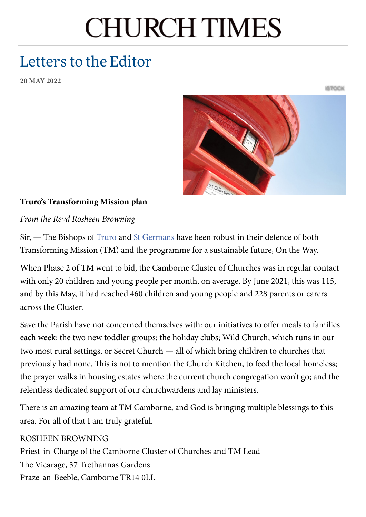# **CHURCH TIMES**

# Letters to the Editor

**20 MAY 2022**

ISTOCK



# **Truro's Transforming Mission plan**

*From the Revd Rosheen Browning*

Sir, — The Bishops of [Truro](https://www.churchtimes.co.uk/topics/bishop-of-truro) and St [Germans](https://www.churchtimes.co.uk/topics/bishop-of-st-germans) have been robust in their defence of both Transforming Mission (TM) and the programme for a sustainable future, On the Way.

When Phase 2 of TM went to bid, the Camborne Cluster of Churches was in regular contact with only 20 children and young people per month, on average. By June 2021, this was 115, and by this May, it had reached 460 children and young people and 228 parents or carers across the Cluster.

Save the Parish have not concerned themselves with: our initiatives to offer meals to families each week; the two new toddler groups; the holiday clubs; Wild Church, which runs in our two most rural settings, or Secret Church — all of which bring children to churches that previously had none. This is not to mention the Church Kitchen, to feed the local homeless; the prayer walks in housing estates where the current church congregation won't go; and the relentless dedicated support of our churchwardens and lay ministers.

There is an amazing team at TM Camborne, and God is bringing multiple blessings to this area. For all of that I am truly grateful.

# ROSHEEN BROWNING

Priest-in-Charge of the Camborne Cluster of Churches and TM Lead The Vicarage, 37 Trethannas Gardens Praze-an-Beeble, Camborne TR14 0LL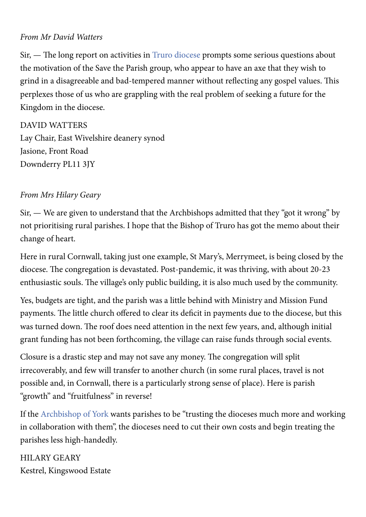#### *From Mr David Watters*

Sir, — The long report on activities in Truro [diocese](https://www.churchtimes.co.uk/topics/diocese-of-truro) prompts some serious questions about the motivation of the Save the Parish group, who appear to have an axe that they wish to grind in a disagreeable and bad-tempered manner without reflecting any gospel values. This perplexes those of us who are grappling with the real problem of seeking a future for the Kingdom in the diocese.

DAVID WATTERS Lay Chair, East Wivelshire deanery synod Jasione, Front Road Downderry PL11 3JY

#### *From Mrs Hilary Geary*

Sir, — We are given to understand that the Archbishops admitted that they "got it wrong" by not prioritising rural parishes. I hope that the Bishop of Truro has got the memo about their change of heart.

Here in rural Cornwall, taking just one example, St Mary's, Merrymeet, is being closed by the diocese. The congregation is devastated. Post-pandemic, it was thriving, with about 20-23 enthusiastic souls. The village's only public building, it is also much used by the community.

Yes, budgets are tight, and the parish was a little behind with Ministry and Mission Fund payments. The little church offered to clear its deficit in payments due to the diocese, but this was turned down. The roof does need attention in the next few years, and, although initial grant funding has not been forthcoming, the village can raise funds through social events.

Closure is a drastic step and may not save any money. The congregation will split irrecoverably, and few will transfer to another church (in some rural places, travel is not possible and, in Cornwall, there is a particularly strong sense of place). Here is parish "growth" and "fruitfulness" in reverse!

If the [Archbishop](https://www.churchtimes.co.uk/topics/archbishop-of-york) of York wants parishes to be "trusting the dioceses much more and working in collaboration with them", the dioceses need to cut their own costs and begin treating the parishes less high-handedly.

HILARY GEARY Kestrel, Kingswood Estate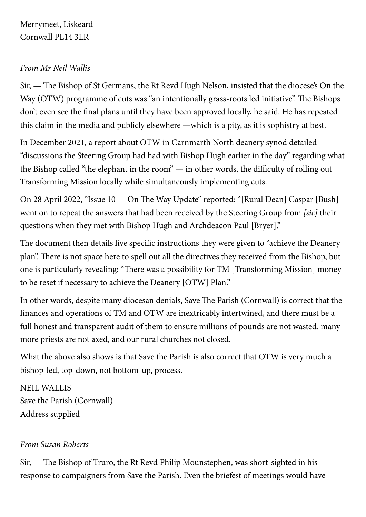# Merrymeet, Liskeard Cornwall PL14 3LR

#### *From Mr Neil Wallis*

Sir, — The Bishop of St Germans, the Rt Revd Hugh Nelson, insisted that the diocese's On the Way (OTW) programme of cuts was "an intentionally grass-roots led initiative". The Bishops don't even see the final plans until they have been approved locally, he said. He has repeated this claim in the media and publicly elsewhere —which is a pity, as it is sophistry at best.

In December 2021, a report about OTW in Carnmarth North deanery synod detailed "discussions the Steering Group had had with Bishop Hugh earlier in the day" regarding what the Bishop called "the elephant in the room" — in other words, the difficulty of rolling out Transforming Mission locally while simultaneously implementing cuts.

On 28 April 2022, "Issue 10 — On The Way Update" reported: "[Rural Dean] Caspar [Bush] went on to repeat the answers that had been received by the Steering Group from *[sic]* their questions when they met with Bishop Hugh and Archdeacon Paul [Bryer]."

The document then details five specific instructions they were given to "achieve the Deanery plan". There is not space here to spell out all the directives they received from the Bishop, but one is particularly revealing: "There was a possibility for TM [Transforming Mission] money to be reset if necessary to achieve the Deanery [OTW] Plan."

In other words, despite many diocesan denials, Save The Parish (Cornwall) is correct that the finances and operations of TM and OTW are inextricably intertwined, and there must be a full honest and transparent audit of them to ensure millions of pounds are not wasted, many more priests are not axed, and our rural churches not closed.

What the above also shows is that Save the Parish is also correct that OTW is very much a bishop-led, top-down, not bottom-up, process.

NEIL WALLIS Save the Parish (Cornwall) Address supplied

#### *From Susan Roberts*

Sir, — The Bishop of Truro, the Rt Revd Philip Mounstephen, was short-sighted in his response to campaigners from Save the Parish. Even the briefest of meetings would have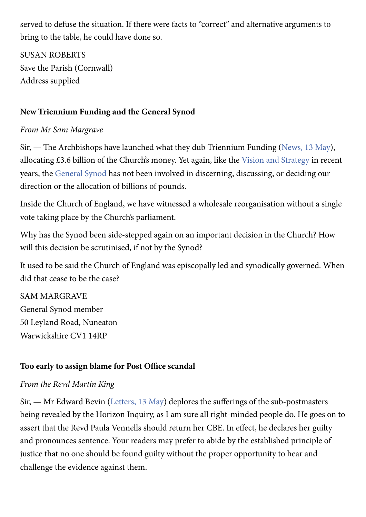served to defuse the situation. If there were facts to "correct" and alternative arguments to bring to the table, he could have done so.

SUSAN ROBERTS Save the Parish (Cornwall) Address supplied

# **New Triennium Funding and the General Synod**

# *From Mr Sam Margrave*

Sir, — The Archbishops have launched what they dub Triennium Funding ([News,](https://www.churchtimes.co.uk/articles/2022/13-may/news/uk/archbishops-announce-big-rise-in-commissioners-support-for-ministry) 13 May), allocating £3.6 billion of the Church's money. Yet again, like the Vision and [Strategy](https://www.churchtimes.co.uk/topics/vision-and-strategy) in recent years, the [General](https://www.churchtimes.co.uk/topics/general-synod) Synod has not been involved in discerning, discussing, or deciding our direction or the allocation of billions of pounds.

Inside the Church of England, we have witnessed a wholesale reorganisation without a single vote taking place by the Church's parliament.

Why has the Synod been side-stepped again on an important decision in the Church? How will this decision be scrutinised, if not by the Synod?

It used to be said the Church of England was episcopally led and synodically governed. When did that cease to be the case?

SAM MARGRAVE General Synod member 50 Leyland Road, Nuneaton Warwickshire CV1 14RP

# **Too early to assign blame for Post Office scandal**

#### *From the Revd Martin King*

Sir, — Mr Edward Bevin ([Letters,](https://www.churchtimes.co.uk/articles/2022/13-may/comment/letters-to-the-editor/letters-to-the-editor) 13 May) deplores the sufferings of the sub-postmasters being revealed by the Horizon Inquiry, as I am sure all right-minded people do. He goes on to assert that the Revd Paula Vennells should return her CBE. In effect, he declares her guilty and pronounces sentence. Your readers may prefer to abide by the established principle of justice that no one should be found guilty without the proper opportunity to hear and challenge the evidence against them.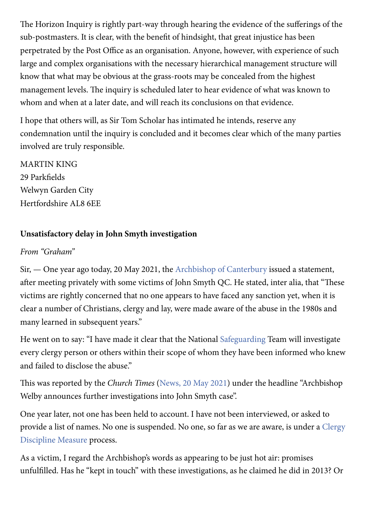The Horizon Inquiry is rightly part-way through hearing the evidence of the sufferings of the sub-postmasters. It is clear, with the benefit of hindsight, that great injustice has been perpetrated by the Post Office as an organisation. Anyone, however, with experience of such large and complex organisations with the necessary hierarchical management structure will know that what may be obvious at the grass-roots may be concealed from the highest management levels. The inquiry is scheduled later to hear evidence of what was known to whom and when at a later date, and will reach its conclusions on that evidence.

I hope that others will, as Sir Tom Scholar has intimated he intends, reserve any condemnation until the inquiry is concluded and it becomes clear which of the many parties involved are truly responsible.

MARTIN KING 29 Parkfields Welwyn Garden City Hertfordshire AL8 6EE

# **Unsatisfactory delay in John Smyth investigation**

#### *From "Graham"*

Sir, — One year ago today, 20 May 2021, the [Archbishop](https://www.churchtimes.co.uk/topics/archbishop-of-canterbury) of Canterbury issued a statement, after meeting privately with some victims of John Smyth QC. He stated, inter alia, that "These victims are rightly concerned that no one appears to have faced any sanction yet, when it is clear a number of Christians, clergy and lay, were made aware of the abuse in the 1980s and many learned in subsequent years."

He went on to say: "I have made it clear that the National [Safeguarding](https://www.churchtimes.co.uk/topics/safeguarding) Team will investigate every clergy person or others within their scope of whom they have been informed who knew and failed to disclose the abuse."

This was reported by the *Church Times* [\(News,](https://www.churchtimes.co.uk/articles/2021/21-may/news/uk/archbishop-welby-announces-further-investigations-into-john-smyth-case) 20 May 2021) under the headline "Archbishop Welby announces further investigations into John Smyth case".

One year later, not one has been held to account. I have not been interviewed, or asked to provide a list of names. No one is [suspended.](https://www.churchtimes.co.uk/topics/clergy-discipline-measure-cdm) No one, so far as we are aware, is under a Clergy Discipline Measure process.

As a victim, I regard the Archbishop's words as appearing to be just hot air: promises unfulfilled. Has he "kept in touch" with these investigations, as he claimed he did in 2013? Or